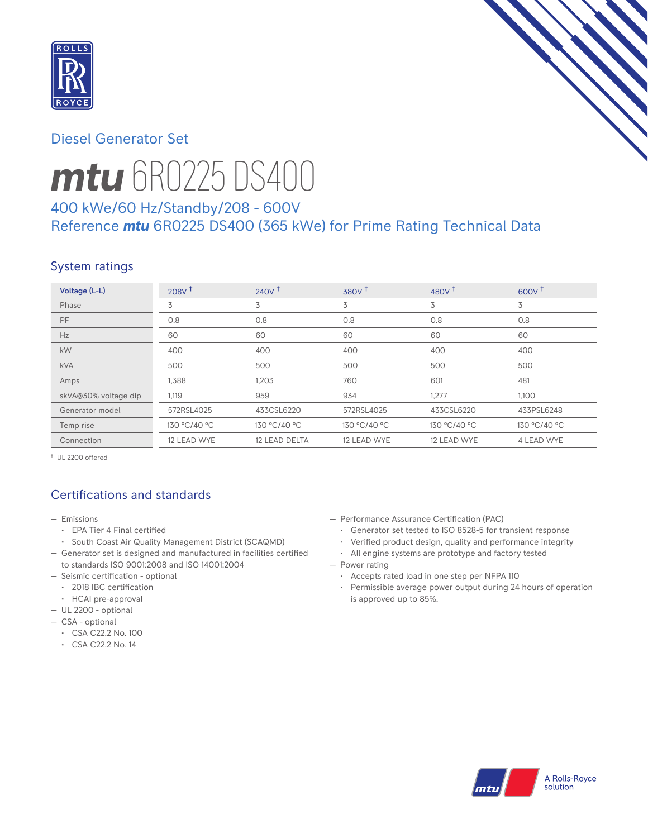

## Diesel Generator Set



# *mtu* 6R0225 DS400

## 400 kWe/60 Hz/Standby/208 - 600V Reference *mtu* 6R0225 DS400 (365 kWe) for Prime Rating Technical Data

## System ratings

| Voltage (L-L)        | 208V <sup>†</sup> | 240V <sup>†</sup> | 380V <sup>†</sup> | 480 $V†$     | $600V^{\dagger}$ |
|----------------------|-------------------|-------------------|-------------------|--------------|------------------|
| Phase                | 3                 | 3                 | 3                 | 3            | 3                |
| PF                   | 0.8               | 0.8               | 0.8               | 0.8          | 0.8              |
| Hz                   | 60                | 60                | 60                | 60           | 60               |
| kW                   | 400               | 400               | 400               | 400          | 400              |
| <b>kVA</b>           | 500               | 500               | 500               | 500          | 500              |
| Amps                 | 1,388             | 1,203             | 760               | 601          | 481              |
| skVA@30% voltage dip | 1,119             | 959               | 934               | 1,277        | 1,100            |
| Generator model      | 572RSL4025        | 433CSL6220        | 572RSL4025        | 433CSL6220   | 433PSL6248       |
| Temp rise            | 130 °C/40 °C      | 130 °C/40 °C      | 130 °C/40 °C      | 130 °C/40 °C | 130 °C/40 °C     |
| Connection           | 12 LEAD WYE       | 12 LEAD DELTA     | 12 LEAD WYE       | 12 LEAD WYE  | 4 LEAD WYE       |

† UL 2200 offered

## Certifications and standards

- Emissions
	- EPA Tier 4 Final certified
- South Coast Air Quality Management District (SCAQMD)
- Generator set is designed and manufactured in facilities certified to standards ISO 9001:2008 and ISO 14001:2004
- Seismic certification optional
- 2018 IBC certification
- HCAI pre-approval
- UL 2200 optional
- CSA optional
	- CSA C22.2 No. 100
	- CSA C22.2 No. 14
- Performance Assurance Certification (PAC)
	- Generator set tested to ISO 8528-5 for transient response
- Verified product design, quality and performance integrity
- All engine systems are prototype and factory tested
- Power rating
	- Accepts rated load in one step per NFPA 110
	- Permissible average power output during 24 hours of operation is approved up to 85%.

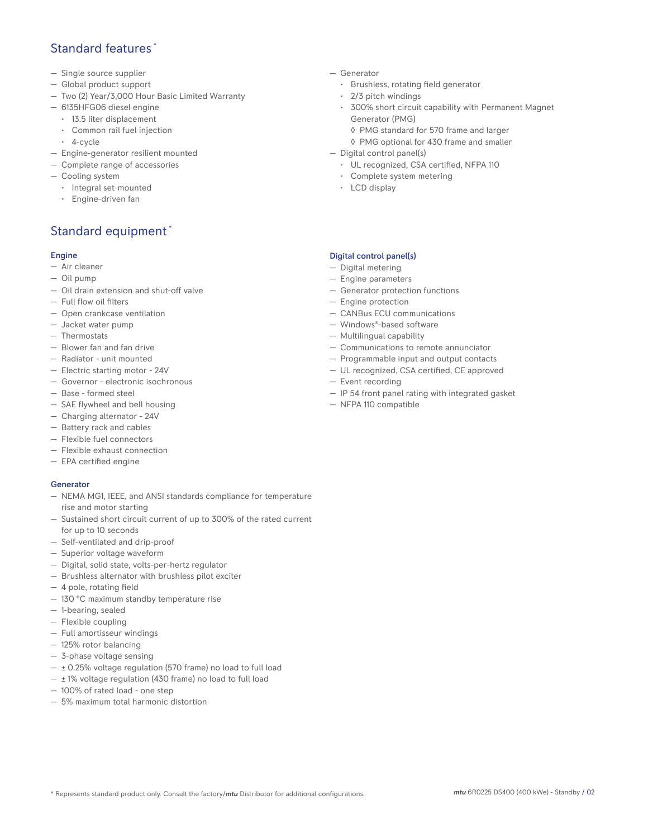## Standard features \*

- Single source supplier
- Global product support
- Two (2) Year/3,000 Hour Basic Limited Warranty
- 6135HFG06 diesel engine
	- 13.5 liter displacement
	- Common rail fuel injection
	- 4-cycle
- Engine-generator resilient mounted
- Complete range of accessories
- Cooling system
- Integral set-mounted
	- Engine-driven fan

## Standard equipment \*

#### Engine

- Air cleaner
- Oil pump
- Oil drain extension and shut-off valve
- Full flow oil filters
- Open crankcase ventilation
- Jacket water pump
- Thermostats
- Blower fan and fan drive
- Radiator unit mounted
- Electric starting motor 24V
- Governor electronic isochronous
- Base formed steel
- SAE flywheel and bell housing
- Charging alternator 24V
- Battery rack and cables
- Flexible fuel connectors
- Flexible exhaust connection
- EPA certified engine

#### **Generator**

- NEMA MG1, IEEE, and ANSI standards compliance for temperature rise and motor starting
- Sustained short circuit current of up to 300% of the rated current for up to 10 seconds
- Self-ventilated and drip-proof
- Superior voltage waveform
- Digital, solid state, volts-per-hertz regulator
- Brushless alternator with brushless pilot exciter
- 4 pole, rotating field
- 130 °C maximum standby temperature rise
- 1-bearing, sealed
- Flexible coupling
- Full amortisseur windings
- 125% rotor balancing
- 3-phase voltage sensing
- $\pm$  0.25% voltage regulation (570 frame) no load to full load
- $\pm$  1% voltage regulation (430 frame) no load to full load
- 100% of rated load one step
- 5% maximum total harmonic distortion
- Generator
	- Brushless, rotating field generator
	- 2/3 pitch windings
	- 300% short circuit capability with Permanent Magnet Generator (PMG)
		- ◊ PMG standard for 570 frame and larger
		- ◊ PMG optional for 430 frame and smaller
- Digital control panel(s)
	- UL recognized, CSA certified, NFPA 110
	- Complete system metering
	- LCD display

#### Digital control panel(s)

- Digital metering
- Engine parameters
- Generator protection functions
- Engine protection
- CANBus ECU communications
- Windows®-based software
- Multilingual capability
- Communications to remote annunciator
- Programmable input and output contacts
- UL recognized, CSA certified, CE approved
- Event recording
- IP 54 front panel rating with integrated gasket
- NFPA 110 compatible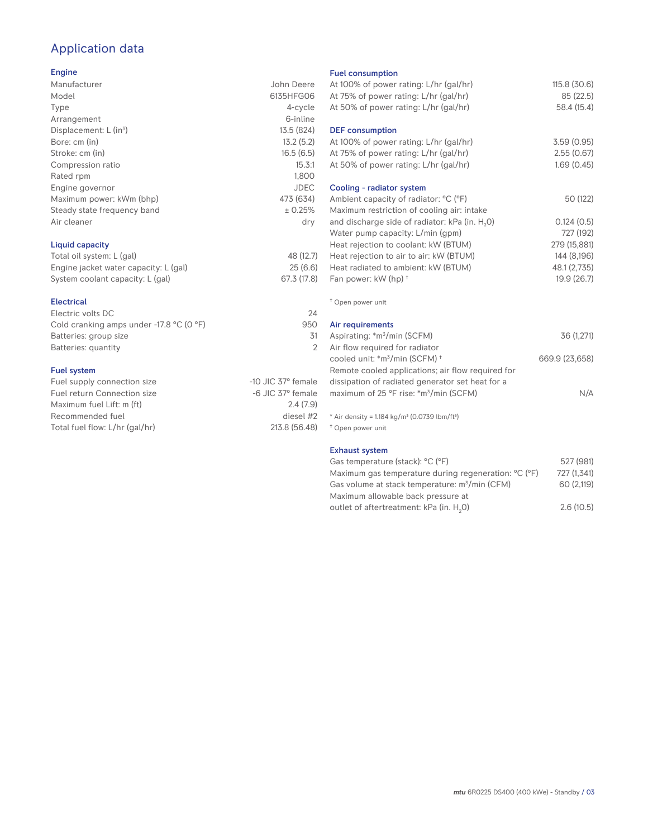## Application data

#### Engine

| Manufacturer                | John Deere  |
|-----------------------------|-------------|
| Model                       | 6135HFG06   |
| Type                        | 4-cycle     |
| Arrangement                 | 6-inline    |
| Displacement: $L (in3)$     | 13.5 (824)  |
| Bore: cm (in)               | 13.2(5.2)   |
| Stroke: cm (in)             | 16.5(6.5)   |
| Compression ratio           | 15.3:1      |
| Rated rpm                   | 1,800       |
| Engine governor             | <b>JDEC</b> |
| Maximum power: kWm (bhp)    | 473 (634)   |
| Steady state frequency band | ± 0.25%     |
| Air cleaner                 | dry         |
|                             |             |
|                             |             |

#### Liquid capacity

| Total oil system: L (gal)             | 48 (12.7)   |
|---------------------------------------|-------------|
| Engine jacket water capacity: L (gal) | 25(6.6)     |
| System coolant capacity: L (gal)      | 67.3 (17.8) |

#### Electrical

| Electric volts DC                                            | 24  |
|--------------------------------------------------------------|-----|
| Cold cranking amps under -17.8 $^{\circ}$ C (O $^{\circ}$ F) | 950 |
| Batteries: group size                                        | .31 |
| Batteries: quantity                                          |     |
|                                                              |     |

#### Fuel system

| Fuel supply connection size    | $-10$ JIC 37 $\degree$ female |
|--------------------------------|-------------------------------|
| Fuel return Connection size    | $-6$ JIC 37 $^{\circ}$ female |
| Maximum fuel Lift: m (ft)      | 2.4(7.9)                      |
| Recommended fuel               | diesel #2                     |
| Total fuel flow: L/hr (gal/hr) | 213.8 (56.48)                 |
|                                |                               |

#### Fuel consumption

| uut uundunpuun<br>At 100% of power rating: L/hr (gal/hr)<br>At 75% of power rating: L/hr (gal/hr)<br>At 50% of power rating: L/hr (gal/hr)                                                                                                                 | 115.8(30.6)<br>85 (22.5)<br>58.4 (15.4)             |
|------------------------------------------------------------------------------------------------------------------------------------------------------------------------------------------------------------------------------------------------------------|-----------------------------------------------------|
| <b>DEF</b> consumption<br>At 100% of power rating: L/hr (gal/hr)<br>At 75% of power rating: L/hr (gal/hr)<br>At 50% of power rating: L/hr (gal/hr)                                                                                                         | 3.59(0.95)<br>2.55(0.67)<br>1.69(0.45)              |
| Cooling - radiator system<br>Ambient capacity of radiator: °C (°F)<br>Maximum restriction of cooling air: intake<br>and discharge side of radiator: kPa (in. H <sub>2</sub> O)<br>Water pump capacity: L/min (gpm)<br>Heat rejection to coolant: kW (BTUM) | 50 (122)<br>0.124(0.5)<br>727 (192)<br>279 (15,881) |
| Heat rejection to air to air: kW (BTUM)<br>Heat radiated to ambient: kW (BTUM)<br>Fan power: kW (hp) +                                                                                                                                                     | 144 (8,196)<br>48.1 (2,735)<br>19.9(26.7)           |
| <sup>†</sup> Open power unit                                                                                                                                                                                                                               |                                                     |
| Air requirements<br>Aspirating: *m <sup>3</sup> /min (SCFM)<br>Air flow required for radiator<br>cooled unit: *m <sup>3</sup> /min (SCFM) *                                                                                                                | 36 (1,271)<br>669.9 (23,658)                        |
| Remote cooled applications; air flow required for<br>dissipation of radiated generator set heat for a<br>maximum of 25 °F rise: *m <sup>3</sup> /min (SCFM)                                                                                                | N/A                                                 |
| * Air density = $1.184$ kg/m <sup>3</sup> (0.0739 lbm/ft <sup>3</sup> )<br><sup>†</sup> Open power unit                                                                                                                                                    |                                                     |
| <b>Exhaust system</b><br>Gas temperature (stack): °C (°F)<br>Maximum gas temperature during regeneration: °C (°F)                                                                                                                                          | 527 (981)<br>727 (1.341)                            |

| Gas temperature (stack): °C (°F)                     | 527 (981)   |
|------------------------------------------------------|-------------|
| Maximum gas temperature during regeneration: °C (°F) | 727 (1.341) |
| Gas volume at stack temperature: $m^3/m$ in (CFM)    | 60 (2.119)  |
| Maximum allowable back pressure at                   |             |
| outlet of aftertreatment: kPa (in. H <sub>2</sub> O) | 2.6(10.5)   |